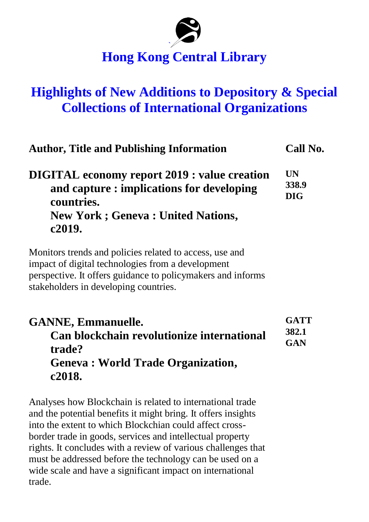## **` Hong Kong Central Library**

## **Highlights of New Additions to Depository & Special Collections of International Organizations**

| <b>Author, Title and Publishing Information</b>                                                                                                                                                                       | Call No.                         |
|-----------------------------------------------------------------------------------------------------------------------------------------------------------------------------------------------------------------------|----------------------------------|
| <b>DIGITAL</b> economy report 2019 : value creation<br>and capture : implications for developing<br>countries.<br><b>New York; Geneva: United Nations,</b><br>c2019.                                                  | <b>UN</b><br>338.9<br><b>DIG</b> |
| Monitors trends and policies related to access, use and<br>impact of digital technologies from a development<br>perspective. It offers guidance to policy makers and informs<br>stakeholders in developing countries. |                                  |
| <b>GANNE, Emmanuelle.</b><br>Can blockchain revolutionize international<br>trade?<br><b>Geneva: World Trade Organization,</b><br>c2018.                                                                               | <b>GATT</b><br>382.1<br>GAN      |

Analyses how Blockchain is related to international trade and the potential benefits it might bring. It offers insights into the extent to which Blockchian could affect crossborder trade in goods, services and intellectual property rights. It concludes with a review of various challenges that must be addressed before the technology can be used on a wide scale and have a significant impact on international trade.